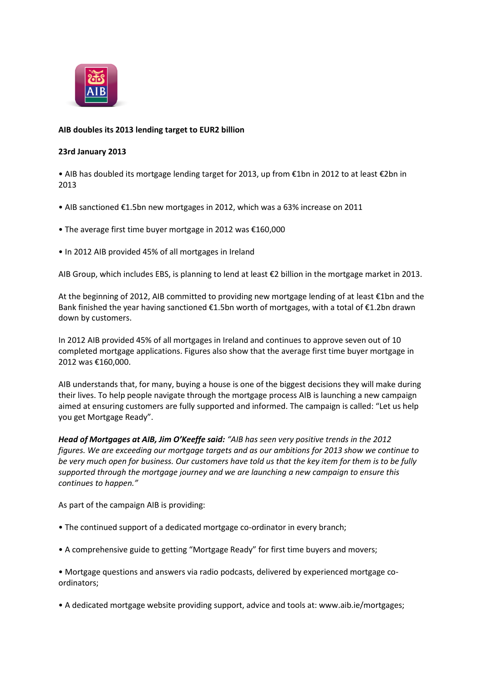

## **AIB doubles its 2013 lending target to EUR2 billion**

## **23rd January 2013**

• AIB has doubled its mortgage lending target for 2013, up from €1bn in 2012 to at least €2bn in 2013

- AIB sanctioned €1.5bn new mortgages in 2012, which was a 63% increase on 2011
- The average first time buyer mortgage in 2012 was €160,000
- In 2012 AIB provided 45% of all mortgages in Ireland

AIB Group, which includes EBS, is planning to lend at least €2 billion in the mortgage market in 2013.

At the beginning of 2012, AIB committed to providing new mortgage lending of at least €1bn and the Bank finished the year having sanctioned €1.5bn worth of mortgages, with a total of €1.2bn drawn down by customers.

In 2012 AIB provided 45% of all mortgages in Ireland and continues to approve seven out of 10 completed mortgage applications. Figures also show that the average first time buyer mortgage in 2012 was €160,000.

AIB understands that, for many, buying a house is one of the biggest decisions they will make during their lives. To help people navigate through the mortgage process AIB is launching a new campaign aimed at ensuring customers are fully supported and informed. The campaign is called: "Let us help you get Mortgage Ready".

*Head of Mortgages at AIB, Jim O'Keeffe said: "AIB has seen very positive trends in the 2012 figures. We are exceeding our mortgage targets and as our ambitions for 2013 show we continue to be very much open for business. Our customers have told us that the key item for them is to be fully supported through the mortgage journey and we are launching a new campaign to ensure this continues to happen."*

As part of the campaign AIB is providing:

- The continued support of a dedicated mortgage co-ordinator in every branch;
- A comprehensive guide to getting "Mortgage Ready" for first time buyers and movers;
- Mortgage questions and answers via radio podcasts, delivered by experienced mortgage coordinators;
- A dedicated mortgage website providing support, advice and tools at: www.aib.ie/mortgages;